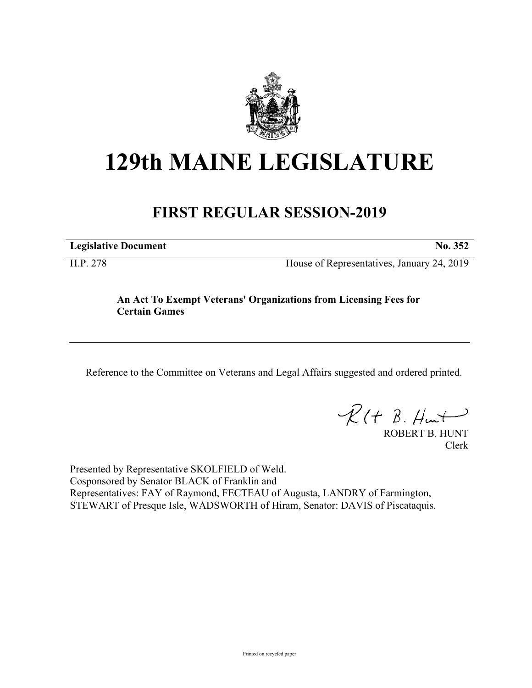

## **129th MAINE LEGISLATURE**

## **FIRST REGULAR SESSION-2019**

**Legislative Document No. 352**

H.P. 278 House of Representatives, January 24, 2019

## **An Act To Exempt Veterans' Organizations from Licensing Fees for Certain Games**

Reference to the Committee on Veterans and Legal Affairs suggested and ordered printed.

 $R(t B. Hmt)$ 

ROBERT B. HUNT Clerk

Presented by Representative SKOLFIELD of Weld. Cosponsored by Senator BLACK of Franklin and Representatives: FAY of Raymond, FECTEAU of Augusta, LANDRY of Farmington, STEWART of Presque Isle, WADSWORTH of Hiram, Senator: DAVIS of Piscataquis.